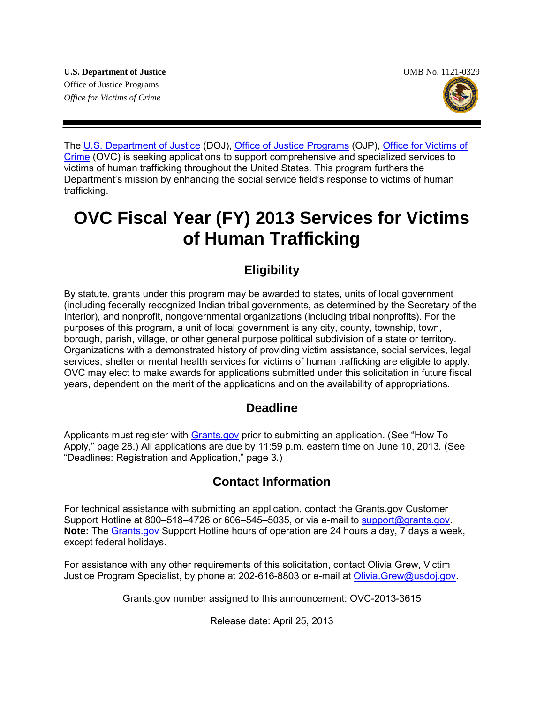**U.S. Department of Justice**  OMB No. 1121-0329 Office of Justice Programs *Office for Victims of Crime* 



The [U.S. Department of Justice](http://www.usdoj.gov/) (DOJ), [Office of Justice Programs](http://www.ojp.usdoj.gov/) (OJP), Office for Victims of [Crime](http://www.ovc.gov/) (OVC) is seeking applications to support comprehensive and specialized services to victims of human trafficking throughout the United States. This program furthers the Department's mission by enhancing the social service field's response to victims of human trafficking.

# **OVC Fiscal Year (FY) 2013 Services for Victims of Human Trafficking**

# **Eligibility**

By statute, grants under this program may be awarded to states, units of local government (including federally recognized Indian tribal governments, as determined by the Secretary of the Interior), and nonprofit, nongovernmental organizations (including tribal nonprofits). For the purposes of this program, a unit of local government is any city, county, township, town, borough, parish, village, or other general purpose political subdivision of a state or territory. Organizations with a demonstrated history of providing victim assistance, social services, legal services, shelter or mental health services for victims of human trafficking are eligible to apply. OVC may elect to make awards for applications submitted under this solicitation in future fiscal years, dependent on the merit of the applications and on the availability of appropriations.

# **Deadline**

Applicants must register with **Grants.gov** prior to submitting an application. (See "How To Apply," page 28.) All applications are due by 11:59 p.m. eastern time on June 10, 2013*.* (See "Deadlines: Registration and Application," page 3*.*)

# **Contact Information**

For technical assistance with submitting an application, contact the Grants.gov Customer Support Hotline at 800–518–4726 or 606–545–5035, or via e-mail to [support@grants.gov.](mailto:support@grants.gov) **Note:** The [Grants.gov](http://www.grants.gov/applicants/apply_for_grants.jsp) Support Hotline hours of operation are 24 hours a day, 7 days a week, except federal holidays.

For assistance with any other requirements of this solicitation, contact Olivia Grew, Victim Justice Program Specialist, by phone at 202-616-8803 or e-mail at [Olivia.Grew@usdoj.gov.](mailto:Olivia.Grew@usdoj.gov)

Grants.gov number assigned to this announcement: OVC-2013-3615

Release date: April 25, 2013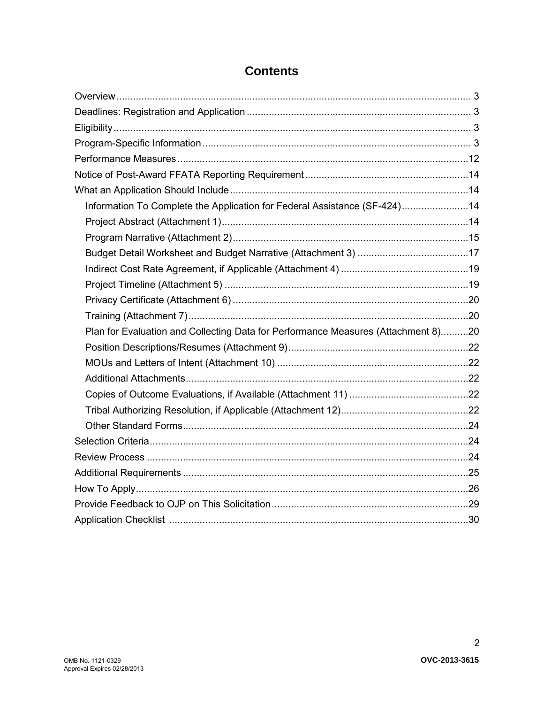| Information To Complete the Application for Federal Assistance (SF-424)14         |  |
|-----------------------------------------------------------------------------------|--|
|                                                                                   |  |
|                                                                                   |  |
|                                                                                   |  |
|                                                                                   |  |
|                                                                                   |  |
|                                                                                   |  |
|                                                                                   |  |
| Plan for Evaluation and Collecting Data for Performance Measures (Attachment 8)20 |  |
|                                                                                   |  |
|                                                                                   |  |
|                                                                                   |  |
|                                                                                   |  |
|                                                                                   |  |
|                                                                                   |  |
|                                                                                   |  |
|                                                                                   |  |
|                                                                                   |  |
|                                                                                   |  |
|                                                                                   |  |
|                                                                                   |  |

# **Contents**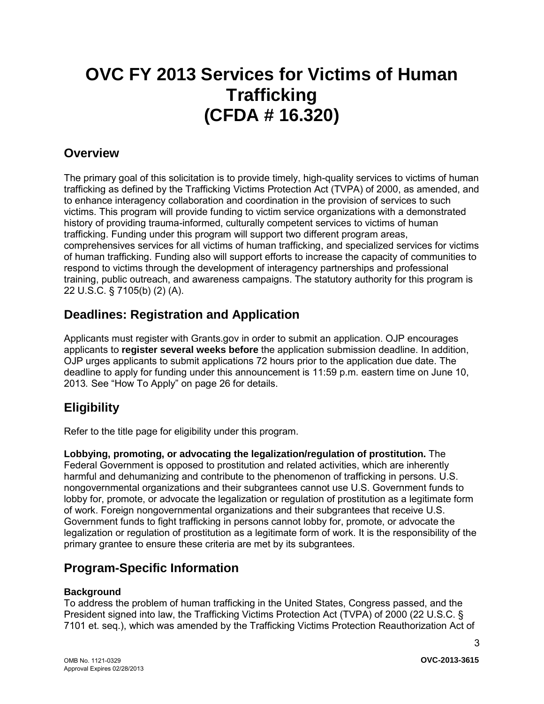# **OVC FY 2013 Services for Victims of Human Trafficking (CFDA # 16.320)**

# <span id="page-2-0"></span>**Overview**

The primary goal of this solicitation is to provide timely, high-quality services to victims of human trafficking as defined by the Trafficking Victims Protection Act (TVPA) of 2000, as amended, and to enhance interagency collaboration and coordination in the provision of services to such victims. This program will provide funding to victim service organizations with a demonstrated history of providing trauma-informed, culturally competent services to victims of human trafficking. Funding under this program will support two different program areas, comprehensives services for all victims of human trafficking, and specialized services for victims of human trafficking. Funding also will support efforts to increase the capacity of communities to respond to victims through the development of interagency partnerships and professional training, public outreach, and awareness campaigns. The statutory authority for this program is 22 U.S.C. § 7105(b) (2) (A).

# <span id="page-2-1"></span>**Deadlines: Registration and Application**

Applicants must register with Grants.gov in order to submit an application. OJP encourages applicants to **register several weeks before** the application submission deadline. In addition, OJP urges applicants to submit applications 72 hours prior to the application due date. The deadline to apply for funding under this announcement is 11:59 p.m. eastern time on June 10, 2013*.* See "How To Apply" on page 26 for details.

# <span id="page-2-2"></span>**Eligibility**

Refer to the title page for eligibility under this program.

**Lobbying, promoting, or advocating the legalization/regulation of prostitution.** The Federal Government is opposed to prostitution and related activities, which are inherently harmful and dehumanizing and contribute to the phenomenon of trafficking in persons. U.S. nongovernmental organizations and their subgrantees cannot use U.S. Government funds to lobby for, promote, or advocate the legalization or regulation of prostitution as a legitimate form of work. Foreign nongovernmental organizations and their subgrantees that receive U.S. Government funds to fight trafficking in persons cannot lobby for, promote, or advocate the legalization or regulation of prostitution as a legitimate form of work. It is the responsibility of the primary grantee to ensure these criteria are met by its subgrantees.

# <span id="page-2-3"></span>**Program-Specific Information**

# **Background**

To address the problem of human trafficking in the United States, Congress passed, and the President signed into law, the Trafficking Victims Protection Act (TVPA) of 2000 (22 U.S.C. § 7101 et. seq.), which was amended by the Trafficking Victims Protection Reauthorization Act of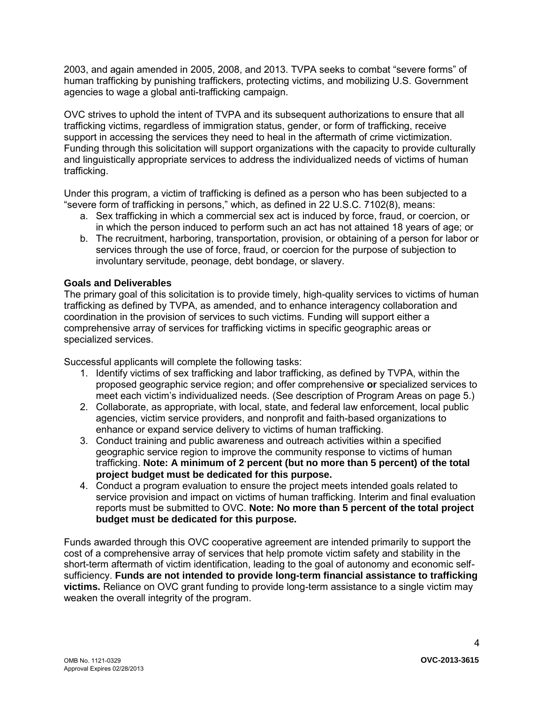2003, and again amended in 2005, 2008, and 2013. TVPA seeks to combat "severe forms" of human trafficking by punishing traffickers, protecting victims, and mobilizing U.S. Government agencies to wage a global anti-trafficking campaign.

OVC strives to uphold the intent of TVPA and its subsequent authorizations to ensure that all trafficking victims, regardless of immigration status, gender, or form of trafficking, receive support in accessing the services they need to heal in the aftermath of crime victimization. Funding through this solicitation will support organizations with the capacity to provide culturally and linguistically appropriate services to address the individualized needs of victims of human trafficking.

Under this program, a victim of trafficking is defined as a person who has been subjected to a "severe form of trafficking in persons," which, as defined in 22 U.S.C. 7102(8), means:

- a. Sex trafficking in which a commercial sex act is induced by force, fraud, or coercion, or in which the person induced to perform such an act has not attained 18 years of age; or
- b. The recruitment, harboring, transportation, provision, or obtaining of a person for labor or services through the use of force, fraud, or coercion for the purpose of subjection to involuntary servitude, peonage, debt bondage, or slavery.

# **Goals and Deliverables**

The primary goal of this solicitation is to provide timely, high-quality services to victims of human trafficking as defined by TVPA, as amended, and to enhance interagency collaboration and coordination in the provision of services to such victims. Funding will support either a comprehensive array of services for trafficking victims in specific geographic areas or specialized services.

Successful applicants will complete the following tasks:

- 1. Identify victims of sex trafficking and labor trafficking, as defined by TVPA, within the proposed geographic service region; and offer comprehensive **or** specialized services to meet each victim's individualized needs. (See description of Program Areas on page 5.)
- 2. Collaborate, as appropriate, with local, state, and federal law enforcement, local public agencies, victim service providers, and nonprofit and faith-based organizations to enhance or expand service delivery to victims of human trafficking.
- 3. Conduct training and public awareness and outreach activities within a specified geographic service region to improve the community response to victims of human trafficking. **Note: A minimum of 2 percent (but no more than 5 percent) of the total project budget must be dedicated for this purpose.**
- 4. Conduct a program evaluation to ensure the project meets intended goals related to service provision and impact on victims of human trafficking. Interim and final evaluation reports must be submitted to OVC. **Note: No more than 5 percent of the total project budget must be dedicated for this purpose.**

Funds awarded through this OVC cooperative agreement are intended primarily to support the cost of a comprehensive array of services that help promote victim safety and stability in the short-term aftermath of victim identification, leading to the goal of autonomy and economic selfsufficiency. **Funds are not intended to provide long-term financial assistance to trafficking victims.** Reliance on OVC grant funding to provide long-term assistance to a single victim may weaken the overall integrity of the program.

4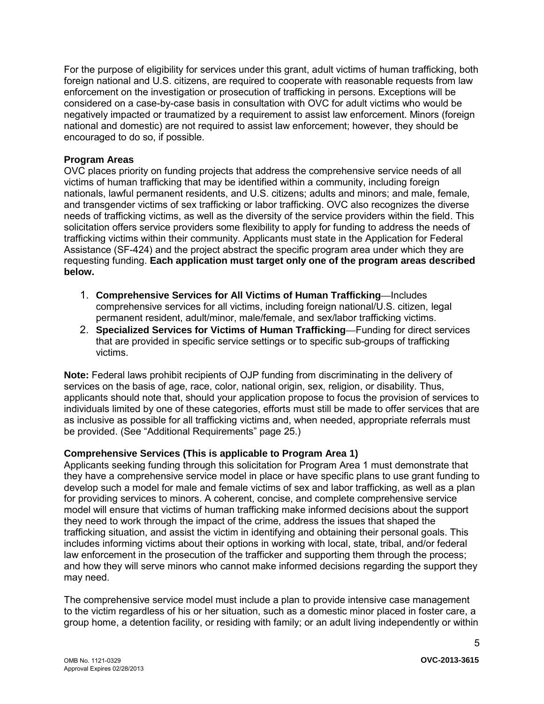For the purpose of eligibility for services under this grant, adult victims of human trafficking, both foreign national and U.S. citizens, are required to cooperate with reasonable requests from law enforcement on the investigation or prosecution of trafficking in persons. Exceptions will be considered on a case-by-case basis in consultation with OVC for adult victims who would be negatively impacted or traumatized by a requirement to assist law enforcement. Minors (foreign national and domestic) are not required to assist law enforcement; however, they should be encouraged to do so, if possible.

# **Program Areas**

OVC places priority on funding projects that address the comprehensive service needs of all victims of human trafficking that may be identified within a community, including foreign nationals, lawful permanent residents, and U.S. citizens; adults and minors; and male, female, and transgender victims of sex trafficking or labor trafficking. OVC also recognizes the diverse needs of trafficking victims, as well as the diversity of the service providers within the field. This solicitation offers service providers some flexibility to apply for funding to address the needs of trafficking victims within their community. Applicants must state in the Application for Federal Assistance (SF-424) and the project abstract the specific program area under which they are requesting funding. **Each application must target only one of the program areas described below.** 

- 1. **Comprehensive Services for All Victims of Human Trafficking—**Includes comprehensive services for all victims, including foreign national/U.S. citizen, legal permanent resident, adult/minor, male/female, and sex/labor trafficking victims.
- 2. **Specialized Services for Victims of Human Trafficking—**Funding for direct services that are provided in specific service settings or to specific sub-groups of trafficking victims.

**Note:** Federal laws prohibit recipients of OJP funding from discriminating in the delivery of services on the basis of age, race, color, national origin, sex, religion, or disability. Thus, applicants should note that, should your application propose to focus the provision of services to individuals limited by one of these categories, efforts must still be made to offer services that are as inclusive as possible for all trafficking victims and, when needed, appropriate referrals must be provided. (See "Additional Requirements" page 25.)

### **Comprehensive Services (This is applicable to Program Area 1)**

Applicants seeking funding through this solicitation for Program Area 1 must demonstrate that they have a comprehensive service model in place or have specific plans to use grant funding to develop such a model for male and female victims of sex and labor trafficking, as well as a plan for providing services to minors. A coherent, concise, and complete comprehensive service model will ensure that victims of human trafficking make informed decisions about the support they need to work through the impact of the crime, address the issues that shaped the trafficking situation, and assist the victim in identifying and obtaining their personal goals. This includes informing victims about their options in working with local, state, tribal, and/or federal law enforcement in the prosecution of the trafficker and supporting them through the process; and how they will serve minors who cannot make informed decisions regarding the support they may need.

The comprehensive service model must include a plan to provide intensive case management to the victim regardless of his or her situation, such as a domestic minor placed in foster care, a group home, a detention facility, or residing with family; or an adult living independently or within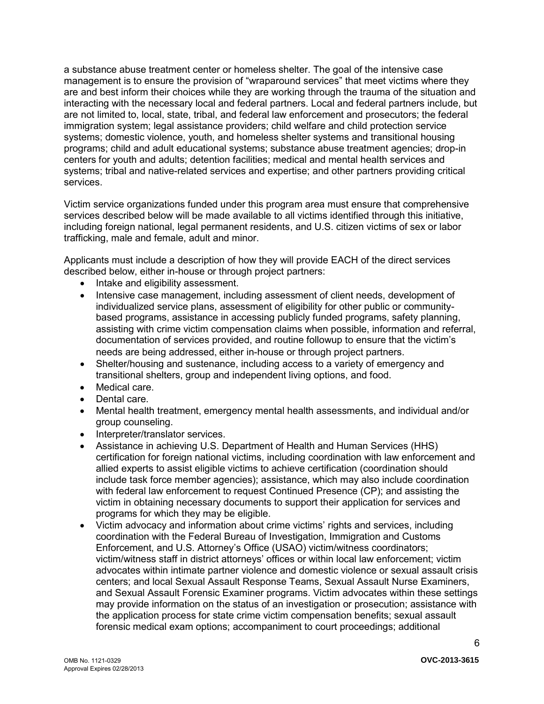a substance abuse treatment center or homeless shelter. The goal of the intensive case management is to ensure the provision of "wraparound services" that meet victims where they are and best inform their choices while they are working through the trauma of the situation and interacting with the necessary local and federal partners. Local and federal partners include, but are not limited to, local, state, tribal, and federal law enforcement and prosecutors; the federal immigration system; legal assistance providers; child welfare and child protection service systems; domestic violence, youth, and homeless shelter systems and transitional housing programs; child and adult educational systems; substance abuse treatment agencies; drop-in centers for youth and adults; detention facilities; medical and mental health services and systems; tribal and native-related services and expertise; and other partners providing critical services.

Victim service organizations funded under this program area must ensure that comprehensive services described below will be made available to all victims identified through this initiative, including foreign national, legal permanent residents, and U.S. citizen victims of sex or labor trafficking, male and female, adult and minor.

 Applicants must include a description of how they will provide EACH of the direct services described below, either in-house or through project partners:

- Intake and eligibility assessment.
- Intensive case management, including assessment of client needs, development of individualized service plans, assessment of eligibility for other public or communitybased programs, assistance in accessing publicly funded programs, safety planning, assisting with crime victim compensation claims when possible, information and referral, documentation of services provided, and routine followup to ensure that the victim's needs are being addressed, either in-house or through project partners.
- Shelter/housing and sustenance, including access to a variety of emergency and transitional shelters, group and independent living options, and food.
- Medical care.
- Dental care.
- Mental health treatment, emergency mental health assessments, and individual and/or group counseling.
- Interpreter/translator services.
- Assistance in achieving U.S. Department of Health and Human Services (HHS) certification for foreign national victims, including coordination with law enforcement and allied experts to assist eligible victims to achieve certification (coordination should include task force member agencies); assistance, which may also include coordination with federal law enforcement to request Continued Presence (CP); and assisting the victim in obtaining necessary documents to support their application for services and programs for which they may be eligible.
- Victim advocacy and information about crime victims' rights and services, including coordination with the Federal Bureau of Investigation, Immigration and Customs Enforcement, and U.S. Attorney's Office (USAO) victim/witness coordinators; victim/witness staff in district attorneys' offices or within local law enforcement; victim advocates within intimate partner violence and domestic violence or sexual assault crisis centers; and local Sexual Assault Response Teams, Sexual Assault Nurse Examiners, and Sexual Assault Forensic Examiner programs. Victim advocates within these settings may provide information on the status of an investigation or prosecution; assistance with the application process for state crime victim compensation benefits; sexual assault forensic medical exam options; accompaniment to court proceedings; additional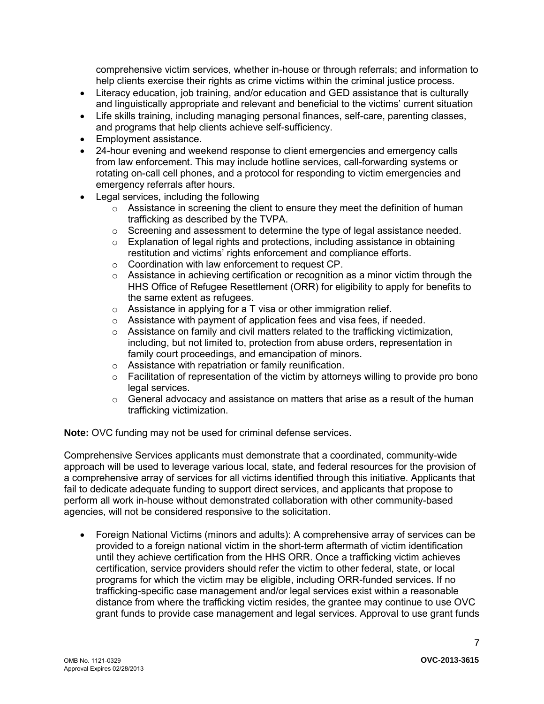comprehensive victim services, whether in-house or through referrals; and information to help clients exercise their rights as crime victims within the criminal justice process.

- Literacy education, job training, and/or education and GED assistance that is culturally and linguistically appropriate and relevant and beneficial to the victims' current situation
- Life skills training, including managing personal finances, self-care, parenting classes, and programs that help clients achieve self-sufficiency.
- Employment assistance.
- 24-hour evening and weekend response to client emergencies and emergency calls from law enforcement. This may include hotline services, call-forwarding systems or rotating on-call cell phones, and a protocol for responding to victim emergencies and emergency referrals after hours.
- Legal services, including the following
	- $\circ$  Assistance in screening the client to ensure they meet the definition of human trafficking as described by the TVPA.
	- $\circ$  Screening and assessment to determine the type of legal assistance needed.
	- $\circ$  Explanation of legal rights and protections, including assistance in obtaining restitution and victims' rights enforcement and compliance efforts.
	- o Coordination with law enforcement to request CP.
	- $\circ$  Assistance in achieving certification or recognition as a minor victim through the HHS Office of Refugee Resettlement (ORR) for eligibility to apply for benefits to the same extent as refugees.
	- o Assistance in applying for a T visa or other immigration relief.
	- $\circ$  Assistance with payment of application fees and visa fees, if needed.
	- o Assistance on family and civil matters related to the trafficking victimization, including, but not limited to, protection from abuse orders, representation in family court proceedings, and emancipation of minors.
	- o Assistance with repatriation or family reunification.
	- o Facilitation of representation of the victim by attorneys willing to provide pro bono legal services.
	- $\circ$  General advocacy and assistance on matters that arise as a result of the human trafficking victimization.

**Note:** OVC funding may not be used for criminal defense services.

Comprehensive Services applicants must demonstrate that a coordinated, community-wide approach will be used to leverage various local, state, and federal resources for the provision of a comprehensive array of services for all victims identified through this initiative. Applicants that fail to dedicate adequate funding to support direct services, and applicants that propose to perform all work in-house without demonstrated collaboration with other community-based agencies, will not be considered responsive to the solicitation.

 Foreign National Victims (minors and adults): A comprehensive array of services can be provided to a foreign national victim in the short-term aftermath of victim identification until they achieve certification from the HHS ORR. Once a trafficking victim achieves certification, service providers should refer the victim to other federal, state, or local programs for which the victim may be eligible, including ORR-funded services. If no trafficking-specific case management and/or legal services exist within a reasonable distance from where the trafficking victim resides, the grantee may continue to use OVC grant funds to provide case management and legal services. Approval to use grant funds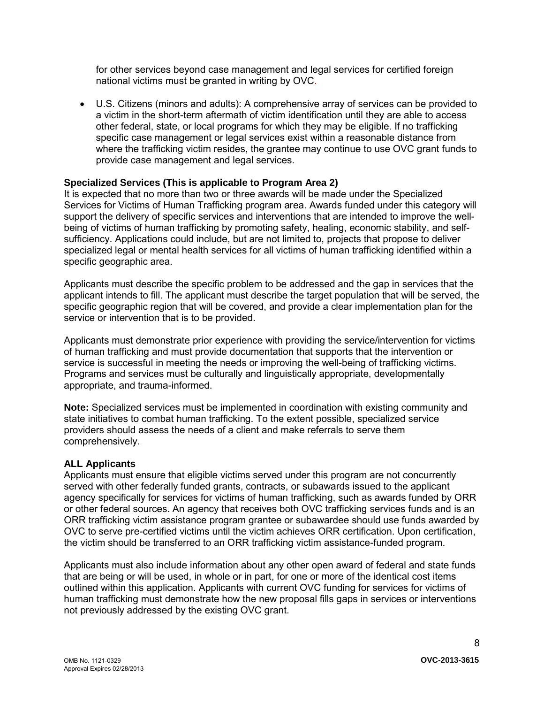for other services beyond case management and legal services for certified foreign national victims must be granted in writing by OVC.

 U.S. Citizens (minors and adults): A comprehensive array of services can be provided to a victim in the short-term aftermath of victim identification until they are able to access other federal, state, or local programs for which they may be eligible. If no trafficking specific case management or legal services exist within a reasonable distance from where the trafficking victim resides, the grantee may continue to use OVC grant funds to provide case management and legal services.

### **Specialized Services (This is applicable to Program Area 2)**

It is expected that no more than two or three awards will be made under the Specialized Services for Victims of Human Trafficking program area. Awards funded under this category will support the delivery of specific services and interventions that are intended to improve the wellbeing of victims of human trafficking by promoting safety, healing, economic stability, and selfsufficiency. Applications could include, but are not limited to, projects that propose to deliver specialized legal or mental health services for all victims of human trafficking identified within a specific geographic area.

Applicants must describe the specific problem to be addressed and the gap in services that the applicant intends to fill. The applicant must describe the target population that will be served, the specific geographic region that will be covered, and provide a clear implementation plan for the service or intervention that is to be provided.

Applicants must demonstrate prior experience with providing the service/intervention for victims of human trafficking and must provide documentation that supports that the intervention or service is successful in meeting the needs or improving the well-being of trafficking victims. Programs and services must be culturally and linguistically appropriate, developmentally appropriate, and trauma-informed.

**Note:** Specialized services must be implemented in coordination with existing community and state initiatives to combat human trafficking. To the extent possible, specialized service providers should assess the needs of a client and make referrals to serve them comprehensively.

#### **ALL Applicants**

Applicants must ensure that eligible victims served under this program are not concurrently served with other federally funded grants, contracts, or subawards issued to the applicant agency specifically for services for victims of human trafficking, such as awards funded by ORR or other federal sources. An agency that receives both OVC trafficking services funds and is an ORR trafficking victim assistance program grantee or subawardee should use funds awarded by OVC to serve pre-certified victims until the victim achieves ORR certification. Upon certification, the victim should be transferred to an ORR trafficking victim assistance-funded program.

Applicants must also include information about any other open award of federal and state funds that are being or will be used, in whole or in part, for one or more of the identical cost items outlined within this application. Applicants with current OVC funding for services for victims of human trafficking must demonstrate how the new proposal fills gaps in services or interventions not previously addressed by the existing OVC grant.

8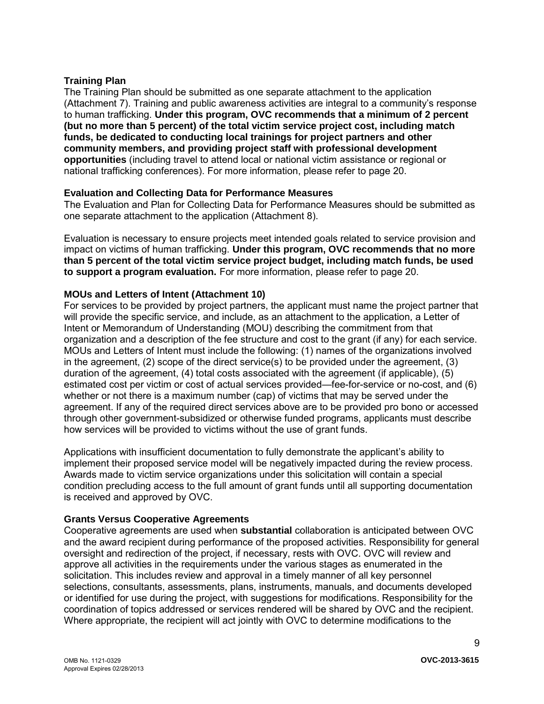### **Training Plan**

The Training Plan should be submitted as one separate attachment to the application (Attachment 7). Training and public awareness activities are integral to a community's response to human trafficking. **Under this program, OVC recommends that a minimum of 2 percent (but no more than 5 percent) of the total victim service project cost, including match funds, be dedicated to conducting local trainings for project partners and other community members, and providing project staff with professional development opportunities** (including travel to attend local or national victim assistance or regional or national trafficking conferences). For more information, please refer to page 20.

#### **Evaluation and Collecting Data for Performance Measures**

The Evaluation and Plan for Collecting Data for Performance Measures should be submitted as one separate attachment to the application (Attachment 8).

Evaluation is necessary to ensure projects meet intended goals related to service provision and impact on victims of human trafficking. **Under this program, OVC recommends that no more than 5 percent of the total victim service project budget, including match funds, be used to support a program evaluation.** For more information, please refer to page 20.

#### **MOUs and Letters of Intent (Attachment 10)**

For services to be provided by project partners, the applicant must name the project partner that will provide the specific service, and include, as an attachment to the application, a Letter of Intent or Memorandum of Understanding (MOU) describing the commitment from that organization and a description of the fee structure and cost to the grant (if any) for each service. MOUs and Letters of Intent must include the following: (1) names of the organizations involved in the agreement, (2) scope of the direct service(s) to be provided under the agreement, (3) duration of the agreement, (4) total costs associated with the agreement (if applicable), (5) estimated cost per victim or cost of actual services provided—fee-for-service or no-cost, and (6) whether or not there is a maximum number (cap) of victims that may be served under the agreement. If any of the required direct services above are to be provided pro bono or accessed through other government-subsidized or otherwise funded programs, applicants must describe how services will be provided to victims without the use of grant funds.

Applications with insufficient documentation to fully demonstrate the applicant's ability to implement their proposed service model will be negatively impacted during the review process. Awards made to victim service organizations under this solicitation will contain a special condition precluding access to the full amount of grant funds until all supporting documentation is received and approved by OVC.

### **Grants Versus Cooperative Agreements**

Cooperative agreements are used when **substantial** collaboration is anticipated between OVC and the award recipient during performance of the proposed activities. Responsibility for general oversight and redirection of the project, if necessary, rests with OVC. OVC will review and approve all activities in the requirements under the various stages as enumerated in the solicitation. This includes review and approval in a timely manner of all key personnel selections, consultants, assessments, plans, instruments, manuals, and documents developed or identified for use during the project, with suggestions for modifications. Responsibility for the coordination of topics addressed or services rendered will be shared by OVC and the recipient. Where appropriate, the recipient will act jointly with OVC to determine modifications to the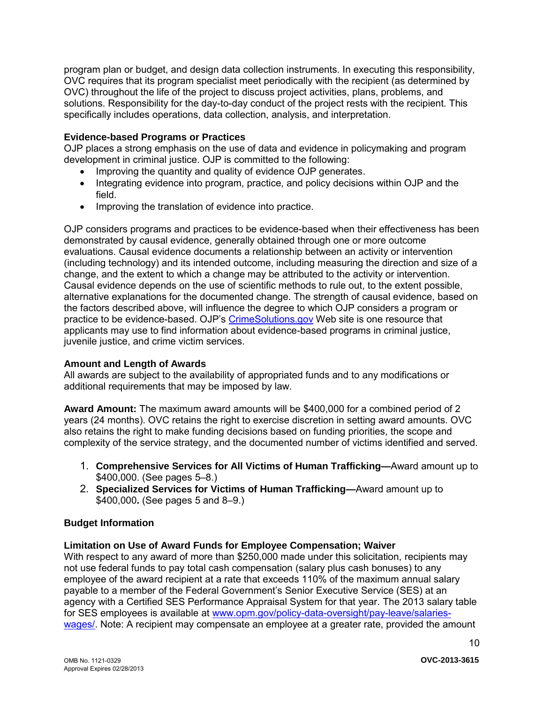program plan or budget, and design data collection instruments. In executing this responsibility, OVC requires that its program specialist meet periodically with the recipient (as determined by OVC) throughout the life of the project to discuss project activities, plans, problems, and solutions. Responsibility for the day-to-day conduct of the project rests with the recipient. This specifically includes operations, data collection, analysis, and interpretation.

### **Evidence-based Programs or Practices**

OJP places a strong emphasis on the use of data and evidence in policymaking and program development in criminal justice. OJP is committed to the following:

- Improving the quantity and quality of evidence OJP generates.
- Integrating evidence into program, practice, and policy decisions within OJP and the field.
- Improving the translation of evidence into practice.

OJP considers programs and practices to be evidence-based when their effectiveness has been demonstrated by causal evidence, generally obtained through one or more outcome evaluations. Causal evidence documents a relationship between an activity or intervention (including technology) and its intended outcome, including measuring the direction and size of a change, and the extent to which a change may be attributed to the activity or intervention. Causal evidence depends on the use of scientific methods to rule out, to the extent possible, alternative explanations for the documented change. The strength of causal evidence, based on the factors described above, will influence the degree to which OJP considers a program or practice to be evidence-based. OJP's [CrimeSolutions.gov](http://www.crimesolutions.gov/) Web site is one resource that applicants may use to find information about evidence-based programs in criminal justice, juvenile justice, and crime victim services.

### **Amount and Length of Awards**

All awards are subject to the availability of appropriated funds and to any modifications or additional requirements that may be imposed by law.

**Award Amount:** The maximum award amounts will be \$400,000 for a combined period of 2 years (24 months). OVC retains the right to exercise discretion in setting award amounts. OVC also retains the right to make funding decisions based on funding priorities, the scope and complexity of the service strategy, and the documented number of victims identified and served.

- 1. **Comprehensive Services for All Victims of Human Trafficking—**Award amount up to \$400,000. (See pages 5–8.)
- 2. **Specialized Services for Victims of Human Trafficking—**Award amount up to \$400,000**.** (See pages 5 and 8–9.)

# **Budget Information**

### **Limitation on Use of Award Funds for Employee Compensation; Waiver**

With respect to any award of more than \$250,000 made under this solicitation, recipients may not use federal funds to pay total cash compensation (salary plus cash bonuses) to any employee of the award recipient at a rate that exceeds 110% of the maximum annual salary payable to a member of the Federal Government's Senior Executive Service (SES) at an agency with a Certified SES Performance Appraisal System for that year. The 2013 salary table for SES employees is available at [www.opm.gov/policy-data-oversight/pay-leave/salaries](http://www.opm.gov/policy-data-oversight/pay-leave/salaries-wages/)[wages/.](http://www.opm.gov/policy-data-oversight/pay-leave/salaries-wages/) Note: A recipient may compensate an employee at a greater rate, provided the amount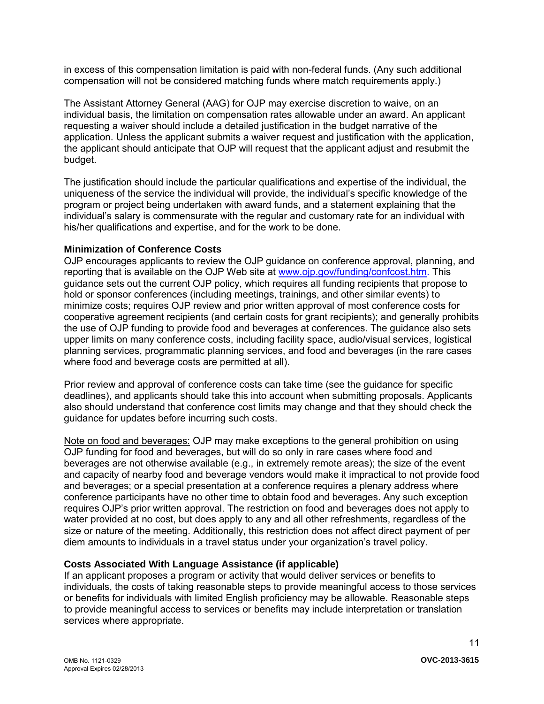in excess of this compensation limitation is paid with non-federal funds. (Any such additional compensation will not be considered matching funds where match requirements apply.)

The Assistant Attorney General (AAG) for OJP may exercise discretion to waive, on an individual basis, the limitation on compensation rates allowable under an award. An applicant requesting a waiver should include a detailed justification in the budget narrative of the application. Unless the applicant submits a waiver request and justification with the application, the applicant should anticipate that OJP will request that the applicant adjust and resubmit the budget.

The justification should include the particular qualifications and expertise of the individual, the uniqueness of the service the individual will provide, the individual's specific knowledge of the program or project being undertaken with award funds, and a statement explaining that the individual's salary is commensurate with the regular and customary rate for an individual with his/her qualifications and expertise, and for the work to be done.

### **Minimization of Conference Costs**

OJP encourages applicants to review the OJP guidance on conference approval, planning, and reporting that is available on the OJP Web site at [www.ojp.gov/funding/confcost.htm.](http://www.ojp.gov/funding/confcost.htm) This guidance sets out the current OJP policy, which requires all funding recipients that propose to hold or sponsor conferences (including meetings, trainings, and other similar events) to minimize costs; requires OJP review and prior written approval of most conference costs for cooperative agreement recipients (and certain costs for grant recipients); and generally prohibits the use of OJP funding to provide food and beverages at conferences. The guidance also sets upper limits on many conference costs, including facility space, audio/visual services, logistical planning services, programmatic planning services, and food and beverages (in the rare cases where food and beverage costs are permitted at all).

Prior review and approval of conference costs can take time (see the guidance for specific deadlines), and applicants should take this into account when submitting proposals. Applicants also should understand that conference cost limits may change and that they should check the guidance for updates before incurring such costs.

Note on food and beverages: OJP may make exceptions to the general prohibition on using OJP funding for food and beverages, but will do so only in rare cases where food and beverages are not otherwise available (e.g., in extremely remote areas); the size of the event and capacity of nearby food and beverage vendors would make it impractical to not provide food and beverages; or a special presentation at a conference requires a plenary address where conference participants have no other time to obtain food and beverages. Any such exception requires OJP's prior written approval. The restriction on food and beverages does not apply to water provided at no cost, but does apply to any and all other refreshments, regardless of the size or nature of the meeting. Additionally, this restriction does not affect direct payment of per diem amounts to individuals in a travel status under your organization's travel policy.

# **Costs Associated With Language Assistance (if applicable)**

If an applicant proposes a program or activity that would deliver services or benefits to individuals, the costs of taking reasonable steps to provide meaningful access to those services or benefits for individuals with limited English proficiency may be allowable. Reasonable steps to provide meaningful access to services or benefits may include interpretation or translation services where appropriate.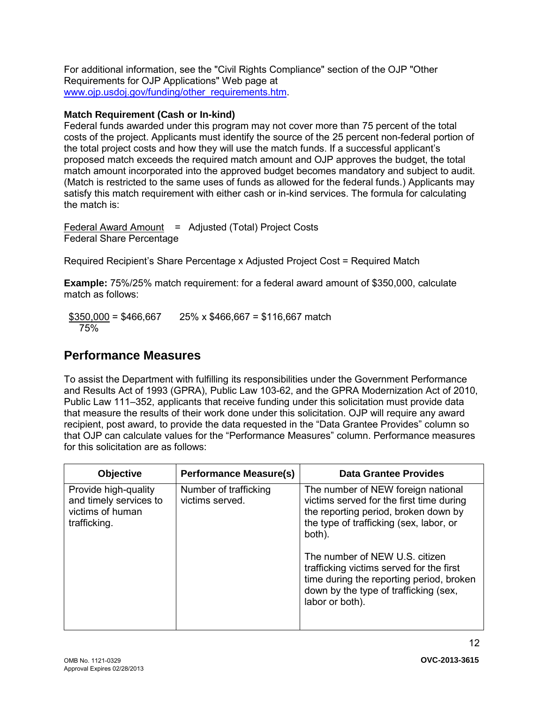For additional information, see the "Civil Rights Compliance" section of the OJP "Other Requirements for OJP Applications" Web page at [www.ojp.usdoj.gov/funding/other\\_requirements.htm.](http://www.ojp.usdoj.gov/funding/other_requirements.htm)

# **Match Requirement (Cash or In-kind)**

Federal funds awarded under this program may not cover more than 75 percent of the total costs of the project. Applicants must identify the source of the 25 percent non-federal portion of the total project costs and how they will use the match funds. If a successful applicant's proposed match exceeds the required match amount and OJP approves the budget, the total match amount incorporated into the approved budget becomes mandatory and subject to audit. (Match is restricted to the same uses of funds as allowed for the federal funds.) Applicants may satisfy this match requirement with either cash or in-kind services. The formula for calculating the match is:

Federal Award Amount = Adjusted (Total) Project Costs Federal Share Percentage

Required Recipient's Share Percentage x Adjusted Project Cost = Required Match

**Example:** 75%/25% match requirement: for a federal award amount of \$350,000, calculate match as follows:

 $$350,000 = $466,667$  25% x \$466,667 = \$116,667 match 75%

# <span id="page-11-0"></span>**Performance Measures**

To assist the Department with fulfilling its responsibilities under the Government Performance and Results Act of 1993 (GPRA), Public Law 103-62, and the GPRA Modernization Act of 2010, Public Law 111–352, applicants that receive funding under this solicitation must provide data that measure the results of their work done under this solicitation. OJP will require any award recipient, post award, to provide the data requested in the "Data Grantee Provides" column so that OJP can calculate values for the "Performance Measures" column. Performance measures for this solicitation are as follows:

| Objective                                                                          | <b>Performance Measure(s)</b>            | <b>Data Grantee Provides</b>                                                                                                                                                                                                                                                                                                                                      |
|------------------------------------------------------------------------------------|------------------------------------------|-------------------------------------------------------------------------------------------------------------------------------------------------------------------------------------------------------------------------------------------------------------------------------------------------------------------------------------------------------------------|
| Provide high-quality<br>and timely services to<br>victims of human<br>trafficking. | Number of trafficking<br>victims served. | The number of NEW foreign national<br>victims served for the first time during<br>the reporting period, broken down by<br>the type of trafficking (sex, labor, or<br>both).<br>The number of NEW U.S. citizen<br>trafficking victims served for the first<br>time during the reporting period, broken<br>down by the type of trafficking (sex,<br>labor or both). |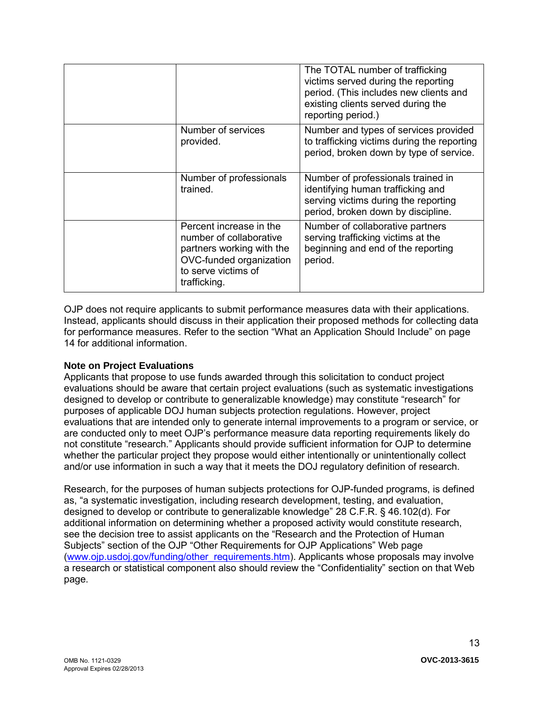|                                                                                                                                                   | The TOTAL number of trafficking<br>victims served during the reporting<br>period. (This includes new clients and<br>existing clients served during the<br>reporting period.) |
|---------------------------------------------------------------------------------------------------------------------------------------------------|------------------------------------------------------------------------------------------------------------------------------------------------------------------------------|
| Number of services<br>provided.                                                                                                                   | Number and types of services provided<br>to trafficking victims during the reporting<br>period, broken down by type of service.                                              |
| Number of professionals<br>trained.                                                                                                               | Number of professionals trained in<br>identifying human trafficking and<br>serving victims during the reporting<br>period, broken down by discipline.                        |
| Percent increase in the<br>number of collaborative<br>partners working with the<br>OVC-funded organization<br>to serve victims of<br>trafficking. | Number of collaborative partners<br>serving trafficking victims at the<br>beginning and end of the reporting<br>period.                                                      |

OJP does not require applicants to submit performance measures data with their applications. Instead, applicants should discuss in their application their proposed methods for collecting data for performance measures. Refer to the section "What an Application Should Include" on page 14 for additional information.

### **Note on Project Evaluations**

Applicants that propose to use funds awarded through this solicitation to conduct project evaluations should be aware that certain project evaluations (such as systematic investigations designed to develop or contribute to generalizable knowledge) may constitute "research" for purposes of applicable DOJ human subjects protection regulations. However, project evaluations that are intended only to generate internal improvements to a program or service, or are conducted only to meet OJP's performance measure data reporting requirements likely do not constitute "research." Applicants should provide sufficient information for OJP to determine whether the particular project they propose would either intentionally or unintentionally collect and/or use information in such a way that it meets the DOJ regulatory definition of research.

Research, for the purposes of human subjects protections for OJP-funded programs, is defined as, "a systematic investigation, including research development, testing, and evaluation, designed to develop or contribute to generalizable knowledge" 28 C.F.R. § 46.102(d). For additional information on determining whether a proposed activity would constitute research, see the decision tree to assist applicants on the "Research and the Protection of Human Subjects" section of the OJP "Other Requirements for OJP Applications" Web page [\(www.ojp.usdoj.gov/funding/other\\_requirements.htm\)](http://www.ojp.usdoj.gov/funding/other_requirements.htm). Applicants whose proposals may involve a research or statistical component also should review the "Confidentiality" section on that Web page.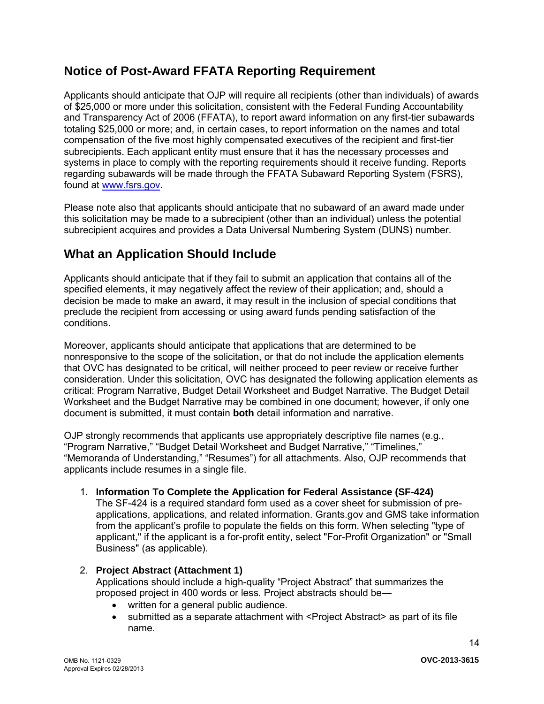# <span id="page-13-2"></span>**Notice of Post-Award FFATA Reporting Requirement**

Applicants should anticipate that OJP will require all recipients (other than individuals) of awards of \$25,000 or more under this solicitation, consistent with the Federal Funding Accountability and Transparency Act of 2006 (FFATA), to report award information on any first-tier subawards totaling \$25,000 or more; and, in certain cases, to report information on the names and total compensation of the five most highly compensated executives of the recipient and first-tier subrecipients. Each applicant entity must ensure that it has the necessary processes and systems in place to comply with the reporting requirements should it receive funding. Reports regarding subawards will be made through the FFATA Subaward Reporting System (FSRS), found at [www.fsrs.gov.](https://www.fsrs.gov/)

Please note also that applicants should anticipate that no subaward of an award made under this solicitation may be made to a subrecipient (other than an individual) unless the potential subrecipient acquires and provides a Data Universal Numbering System (DUNS) number.

# <span id="page-13-0"></span>**What an Application Should Include**

Applicants should anticipate that if they fail to submit an application that contains all of the specified elements, it may negatively affect the review of their application; and, should a decision be made to make an award, it may result in the inclusion of special conditions that preclude the recipient from accessing or using award funds pending satisfaction of the conditions.

Moreover, applicants should anticipate that applications that are determined to be nonresponsive to the scope of the solicitation, or that do not include the application elements that OVC has designated to be critical, will neither proceed to peer review or receive further consideration. Under this solicitation, OVC has designated the following application elements as critical: Program Narrative, Budget Detail Worksheet and Budget Narrative. The Budget Detail Worksheet and the Budget Narrative may be combined in one document; however, if only one document is submitted, it must contain **both** detail information and narrative.

OJP strongly recommends that applicants use appropriately descriptive file names (e.g*.*, "Program Narrative," "Budget Detail Worksheet and Budget Narrative," "Timelines," "Memoranda of Understanding," "Resumes") for all attachments. Also, OJP recommends that applicants include resumes in a single file.

### <span id="page-13-1"></span>1. **Information To Complete the Application for Federal Assistance (SF-424)**

The SF-424 is a required standard form used as a cover sheet for submission of preapplications, applications, and related information. Grants.gov and GMS take information from the applicant's profile to populate the fields on this form. When selecting "type of applicant," if the applicant is a for-profit entity, select "For-Profit Organization" or "Small Business" (as applicable).

# 2. **Project Abstract (Attachment 1)**

Applications should include a high-quality "Project Abstract" that summarizes the proposed project in 400 words or less. Project abstracts should be—

- written for a general public audience.
- submitted as a separate attachment with <Project Abstract> as part of its file name.

14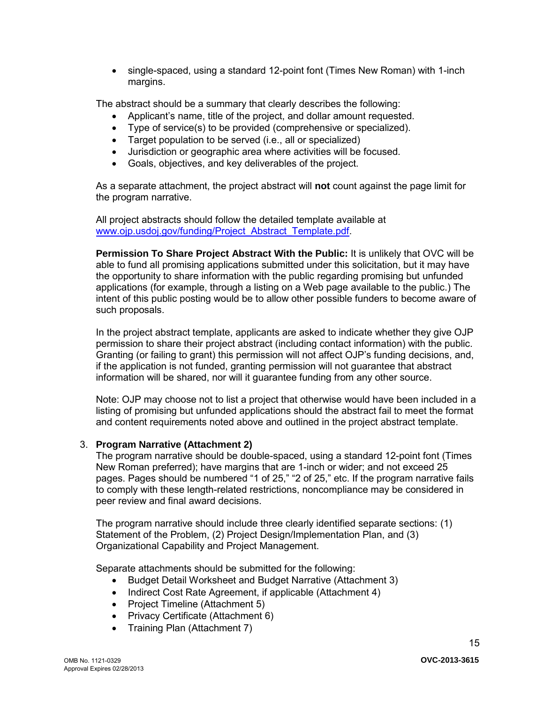• single-spaced, using a standard 12-point font (Times New Roman) with 1-inch margins.

The abstract should be a summary that clearly describes the following:

- Applicant's name, title of the project, and dollar amount requested.
- Type of service(s) to be provided (comprehensive or specialized).
- Target population to be served (i.e., all or specialized)
- Jurisdiction or geographic area where activities will be focused.<br>• Goals, objectives, and key deliverables of the project
- Goals, objectives, and key deliverables of the project.

As a separate attachment, the project abstract will **not** count against the page limit for the program narrative.

All project abstracts should follow the detailed template available at [www.ojp.usdoj.gov/funding/Project\\_Abstract\\_Template.pdf.](http://www.ojp.usdoj.gov/funding/Project_Abstract_Template.pdf)

**Permission To Share Project Abstract With the Public:** It is unlikely that OVC will be able to fund all promising applications submitted under this solicitation, but it may have the opportunity to share information with the public regarding promising but unfunded applications (for example, through a listing on a Web page available to the public.) The intent of this public posting would be to allow other possible funders to become aware of such proposals.

In the project abstract template, applicants are asked to indicate whether they give OJP permission to share their project abstract (including contact information) with the public. Granting (or failing to grant) this permission will not affect OJP's funding decisions, and, if the application is not funded, granting permission will not guarantee that abstract information will be shared, nor will it guarantee funding from any other source.

<span id="page-14-0"></span>Note: OJP may choose not to list a project that otherwise would have been included in a listing of promising but unfunded applications should the abstract fail to meet the format and content requirements noted above and outlined in the project abstract template.

#### <span id="page-14-1"></span>3. **Program Narrative (Attachment 2)**

The program narrative should be double-spaced, using a standard 12-point font (Times New Roman preferred); have margins that are 1-inch or wider; and not exceed 25 pages. Pages should be numbered "1 of 25," "2 of 25," etc. If the program narrative fails to comply with these length-related restrictions, noncompliance may be considered in peer review and final award decisions.

The program narrative should include three clearly identified separate sections: (1) Statement of the Problem, (2) Project Design/Implementation Plan, and (3) Organizational Capability and Project Management.

Separate attachments should be submitted for the following:

- Budget Detail Worksheet and Budget Narrative (Attachment 3)
- Indirect Cost Rate Agreement, if applicable (Attachment 4)
- Project Timeline (Attachment 5)
- Privacy Certificate (Attachment 6)
- Training Plan (Attachment 7)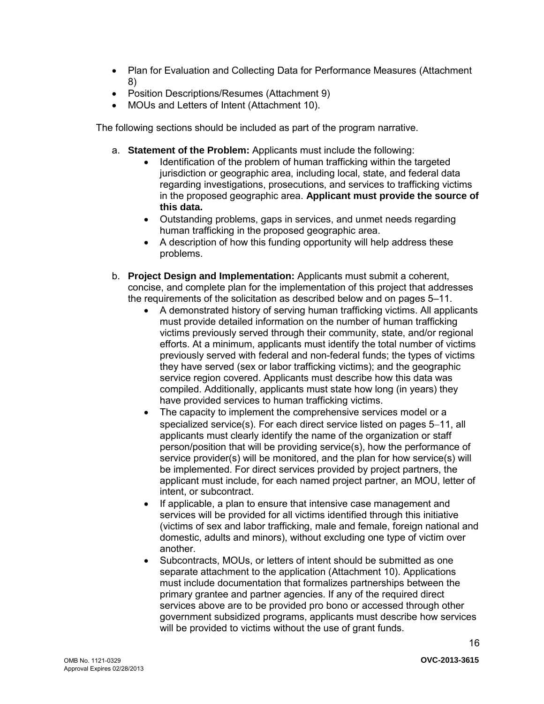- Plan for Evaluation and Collecting Data for Performance Measures (Attachment 8)
- Position Descriptions/Resumes (Attachment 9)
- MOUs and Letters of Intent (Attachment 10).

The following sections should be included as part of the program narrative.

- a. **Statement of the Problem:** Applicants must include the following:
	- Identification of the problem of human trafficking within the targeted jurisdiction or geographic area, including local, state, and federal data regarding investigations, prosecutions, and services to trafficking victims in the proposed geographic area. **Applicant must provide the source of this data.**
	- Outstanding problems, gaps in services, and unmet needs regarding human trafficking in the proposed geographic area.
	- A description of how this funding opportunity will help address these problems.
- b. **Project Design and Implementation:** Applicants must submit a coherent, concise, and complete plan for the implementation of this project that addresses the requirements of the solicitation as described below and on pages 5–11.
	- A demonstrated history of serving human trafficking victims. All applicants must provide detailed information on the number of human trafficking victims previously served through their community, state, and/or regional efforts. At a minimum, applicants must identify the total number of victims previously served with federal and non-federal funds; the types of victims they have served (sex or labor trafficking victims); and the geographic service region covered. Applicants must describe how this data was compiled. Additionally, applicants must state how long (in years) they have provided services to human trafficking victims.
	- The capacity to implement the comprehensive services model or a specialized service(s). For each direct service listed on pages 5–11, all applicants must clearly identify the name of the organization or staff person/position that will be providing service(s), how the performance of service provider(s) will be monitored, and the plan for how service(s) will be implemented. For direct services provided by project partners, the applicant must include, for each named project partner, an MOU, letter of intent, or subcontract.
	- If applicable, a plan to ensure that intensive case management and services will be provided for all victims identified through this initiative (victims of sex and labor trafficking, male and female, foreign national and domestic, adults and minors), without excluding one type of victim over another.
	- Subcontracts, MOUs, or letters of intent should be submitted as one separate attachment to the application (Attachment 10). Applications must include documentation that formalizes partnerships between the primary grantee and partner agencies. If any of the required direct services above are to be provided pro bono or accessed through other government subsidized programs, applicants must describe how services will be provided to victims without the use of grant funds.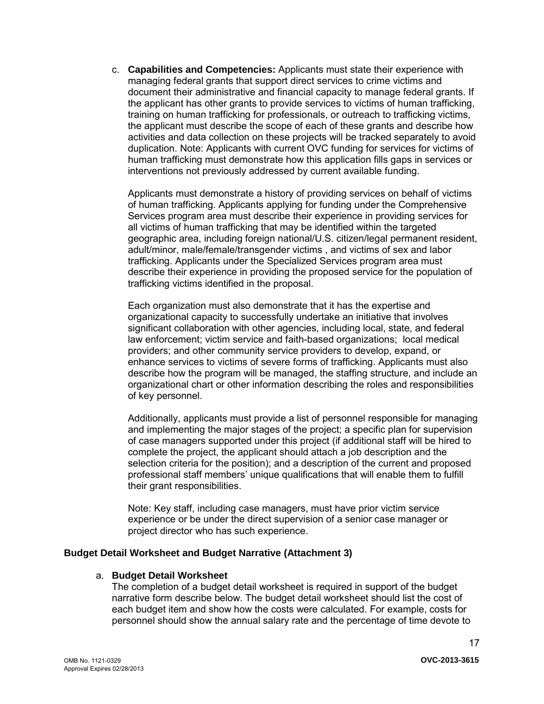c. **Capabilities and Competencies:** Applicants must state their experience with managing federal grants that support direct services to crime victims and document their administrative and financial capacity to manage federal grants. If the applicant has other grants to provide services to victims of human trafficking, training on human trafficking for professionals, or outreach to trafficking victims, the applicant must describe the scope of each of these grants and describe how activities and data collection on these projects will be tracked separately to avoid duplication. Note: Applicants with current OVC funding for services for victims of human trafficking must demonstrate how this application fills gaps in services or interventions not previously addressed by current available funding.

Applicants must demonstrate a history of providing services on behalf of victims of human trafficking. Applicants applying for funding under the Comprehensive Services program area must describe their experience in providing services for all victims of human trafficking that may be identified within the targeted geographic area, including foreign national/U.S. citizen/legal permanent resident, adult/minor, male/female/transgender victims , and victims of sex and labor trafficking. Applicants under the Specialized Services program area must describe their experience in providing the proposed service for the population of trafficking victims identified in the proposal.

Each organization must also demonstrate that it has the expertise and organizational capacity to successfully undertake an initiative that involves significant collaboration with other agencies, including local, state, and federal law enforcement; victim service and faith-based organizations; local medical providers; and other community service providers to develop, expand, or enhance services to victims of severe forms of trafficking. Applicants must also describe how the program will be managed, the staffing structure, and include an organizational chart or other information describing the roles and responsibilities of key personnel.

Additionally, applicants must provide a list of personnel responsible for managing and implementing the major stages of the project; a specific plan for supervision of case managers supported under this project (if additional staff will be hired to complete the project, the applicant should attach a job description and the selection criteria for the position); and a description of the current and proposed professional staff members' unique qualifications that will enable them to fulfill their grant responsibilities.

Note: Key staff, including case managers, must have prior victim service experience or be under the direct supervision of a senior case manager or project director who has such experience.

#### <span id="page-16-0"></span>**Budget Detail Worksheet and Budget Narrative (Attachment 3)**

#### a. **Budget Detail Worksheet**

The completion of a budget detail worksheet is required in support of the budget narrative form describe below. The budget detail worksheet should list the cost of each budget item and show how the costs were calculated. For example, costs for personnel should show the annual salary rate and the percentage of time devote to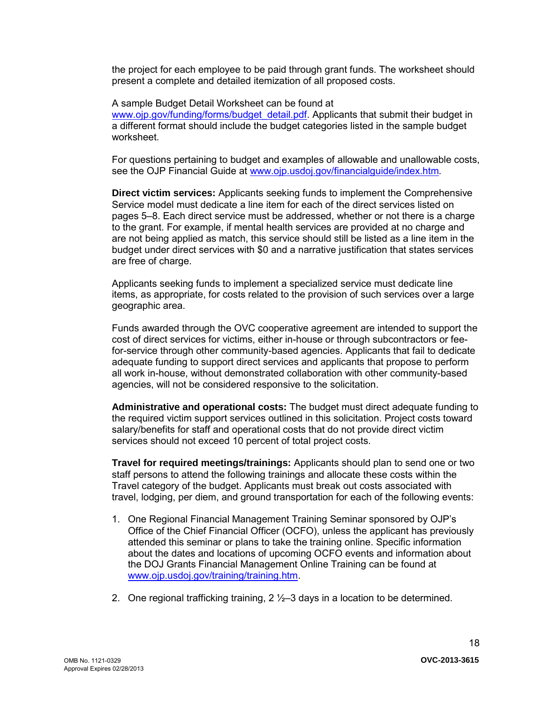the project for each employee to be paid through grant funds. The worksheet should present a complete and detailed itemization of all proposed costs.

A sample Budget Detail Worksheet can be found at [www.ojp.gov/funding/forms/budget\\_detail.pdf.](http://www.ojp.gov/funding/forms/budget_detail.pdf) Applicants that submit their budget in a different format should include the budget categories listed in the sample budget worksheet.

For questions pertaining to budget and examples of allowable and unallowable costs, see the OJP Financial Guide at [www.ojp.usdoj.gov/financialguide/index.htm](http://www.ojp.usdoj.gov/financialguide/index.htm)*.*

**Direct victim services:** Applicants seeking funds to implement the Comprehensive Service model must dedicate a line item for each of the direct services listed on pages 5–8. Each direct service must be addressed, whether or not there is a charge to the grant. For example, if mental health services are provided at no charge and are not being applied as match, this service should still be listed as a line item in the budget under direct services with \$0 and a narrative justification that states services are free of charge.

Applicants seeking funds to implement a specialized service must dedicate line items, as appropriate, for costs related to the provision of such services over a large geographic area.

Funds awarded through the OVC cooperative agreement are intended to support the cost of direct services for victims, either in-house or through subcontractors or feefor-service through other community-based agencies. Applicants that fail to dedicate adequate funding to support direct services and applicants that propose to perform all work in-house, without demonstrated collaboration with other community-based agencies, will not be considered responsive to the solicitation.

**Administrative and operational costs:** The budget must direct adequate funding to the required victim support services outlined in this solicitation. Project costs toward salary/benefits for staff and operational costs that do not provide direct victim services should not exceed 10 percent of total project costs.

**Travel for required meetings/trainings:** Applicants should plan to send one or two staff persons to attend the following trainings and allocate these costs within the Travel category of the budget. Applicants must break out costs associated with travel, lodging, per diem, and ground transportation for each of the following events:

- 1. One Regional Financial Management Training Seminar sponsored by OJP's Office of the Chief Financial Officer (OCFO), unless the applicant has previously attended this seminar or plans to take the training online. Specific information about the dates and locations of upcoming OCFO events and information about the DOJ Grants Financial Management Online Training can be found at [www.ojp.usdoj.gov/training/training.htm.](http://www.ojp.usdoj.gov/training/training.htm)
- 2. One regional trafficking training,  $2\frac{1}{2}$  days in a location to be determined.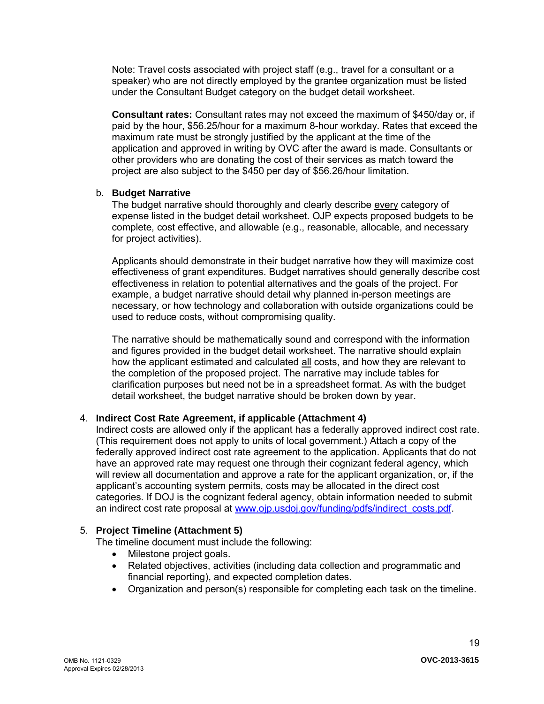Note: Travel costs associated with project staff (e.g., travel for a consultant or a speaker) who are not directly employed by the grantee organization must be listed under the Consultant Budget category on the budget detail worksheet.

**Consultant rates:** Consultant rates may not exceed the maximum of \$450/day or, if paid by the hour, \$56.25/hour for a maximum 8-hour workday. Rates that exceed the maximum rate must be strongly justified by the applicant at the time of the application and approved in writing by OVC after the award is made. Consultants or other providers who are donating the cost of their services as match toward the project are also subject to the \$450 per day of \$56.26/hour limitation.

### b. **Budget Narrative**

The budget narrative should thoroughly and clearly describe every category of expense listed in the budget detail worksheet. OJP expects proposed budgets to be complete, cost effective, and allowable (e.g., reasonable, allocable, and necessary for project activities).

Applicants should demonstrate in their budget narrative how they will maximize cost effectiveness of grant expenditures. Budget narratives should generally describe cost effectiveness in relation to potential alternatives and the goals of the project. For example, a budget narrative should detail why planned in-person meetings are necessary, or how technology and collaboration with outside organizations could be used to reduce costs, without compromising quality.

The narrative should be mathematically sound and correspond with the information and figures provided in the budget detail worksheet. The narrative should explain how the applicant estimated and calculated all costs, and how they are relevant to the completion of the proposed project. The narrative may include tables for clarification purposes but need not be in a spreadsheet format. As with the budget detail worksheet, the budget narrative should be broken down by year.

# <span id="page-18-0"></span>4. **Indirect Cost Rate Agreement, if applicable (Attachment 4)**

Indirect costs are allowed only if the applicant has a federally approved indirect cost rate. (This requirement does not apply to units of local government.) Attach a copy of the federally approved indirect cost rate agreement to the application. Applicants that do not have an approved rate may request one through their cognizant federal agency, which will review all documentation and approve a rate for the applicant organization, or, if the applicant's accounting system permits, costs may be allocated in the direct cost categories. If DOJ is the cognizant federal agency, obtain information needed to submit an indirect cost rate proposal at [www.ojp.usdoj.gov/funding/pdfs/indirect\\_costs.pdf.](http://www.ojp.usdoj.gov/funding/pdfs/indirect_costs.pdf)

# <span id="page-18-1"></span>5. **Project Timeline (Attachment 5)**

The timeline document must include the following:

- Milestone project goals.
- Related objectives, activities (including data collection and programmatic and financial reporting), and expected completion dates.
- Organization and person(s) responsible for completing each task on the timeline.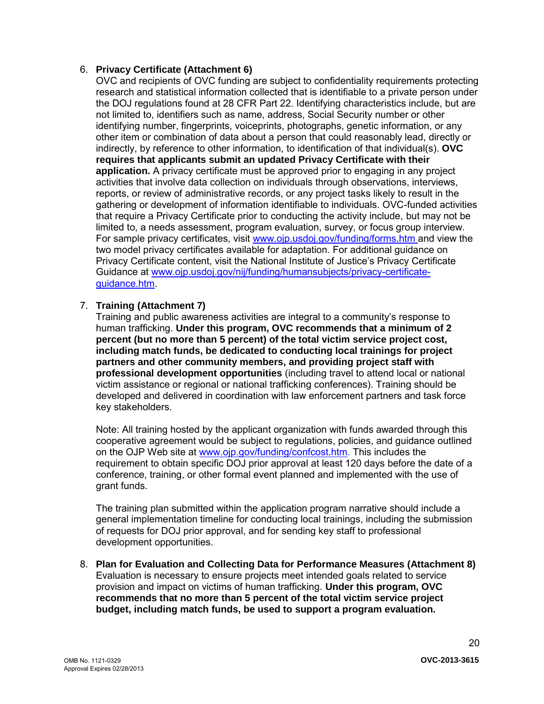# <span id="page-19-1"></span><span id="page-19-0"></span>6. **Privacy Certificate (Attachment 6)**

OVC and recipients of OVC funding are subject to confidentiality requirements protecting research and statistical information collected that is identifiable to a private person under the DOJ regulations found at 28 CFR Part 22. Identifying characteristics include, but are not limited to, identifiers such as name, address, Social Security number or other identifying number, fingerprints, voiceprints, photographs, genetic information, or any other item or combination of data about a person that could reasonably lead, directly or indirectly, by reference to other information, to identification of that individual(s). **OVC requires that applicants submit an updated Privacy Certificate with their application.** A privacy certificate must be approved prior to engaging in any project activities that involve data collection on individuals through observations, interviews, reports, or review of administrative records, or any project tasks likely to result in the gathering or development of information identifiable to individuals. OVC-funded activities that require a Privacy Certificate prior to conducting the activity include, but may not be limited to, a needs assessment, program evaluation, survey, or focus group interview. For sample privacy certificates, visit [www.ojp.usdoj.gov/funding/forms.htm a](http://www.ojp.usdoj.gov/funding/forms.htm)nd view the two model privacy certificates available for adaptation. For additional guidance on Privacy Certificate content, visit the National Institute of Justice's Privacy Certificate Guidance at [www.ojp.usdoj.gov/nij/funding/humansubjects/privacy-certificate](http://www.ojp.usdoj.gov/nij/funding/humansubjects/privacy-certificate-guidance.htm)[guidance.htm.](http://www.ojp.usdoj.gov/nij/funding/humansubjects/privacy-certificate-guidance.htm)

# 7. **Training (Attachment 7)**

Training and public awareness activities are integral to a community's response to human trafficking. **Under this program, OVC recommends that a minimum of 2 percent (but no more than 5 percent) of the total victim service project cost, including match funds, be dedicated to conducting local trainings for project partners and other community members, and providing project staff with professional development opportunities** (including travel to attend local or national victim assistance or regional or national trafficking conferences). Training should be developed and delivered in coordination with law enforcement partners and task force key stakeholders.

Note: All training hosted by the applicant organization with funds awarded through this cooperative agreement would be subject to regulations, policies, and guidance outlined on the OJP Web site at [www.ojp.gov/funding/confcost.htm.](http://www.ojp.gov/funding/confcost.htm) This includes the requirement to obtain specific DOJ prior approval at least 120 days before the date of a conference, training, or other formal event planned and implemented with the use of grant funds.

The training plan submitted within the application program narrative should include a general implementation timeline for conducting local trainings, including the submission of requests for DOJ prior approval, and for sending key staff to professional development opportunities.

8. **Plan for Evaluation and Collecting Data for Performance Measures (Attachment 8)**  Evaluation is necessary to ensure projects meet intended goals related to service provision and impact on victims of human trafficking. **Under this program, OVC recommends that no more than 5 percent of the total victim service project budget, including match funds, be used to support a program evaluation.**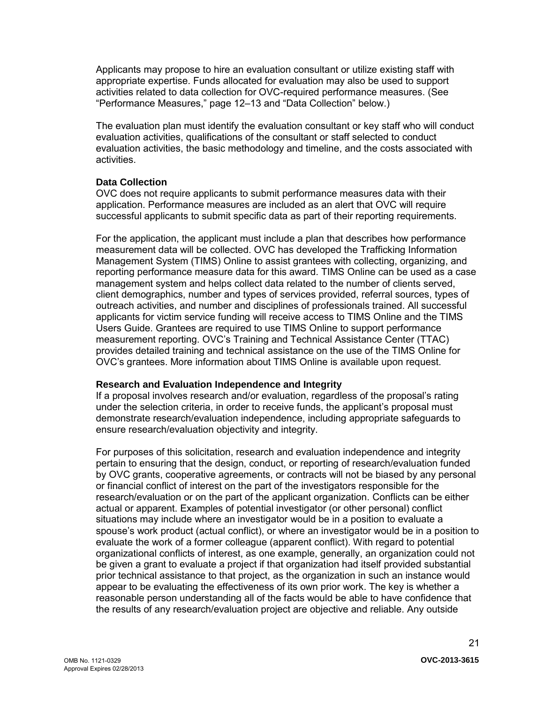Applicants may propose to hire an evaluation consultant or utilize existing staff with appropriate expertise. Funds allocated for evaluation may also be used to support activities related to data collection for OVC-required performance measures. (See "Performance Measures," page 12–13 and "Data Collection" below.)

The evaluation plan must identify the evaluation consultant or key staff who will conduct evaluation activities, qualifications of the consultant or staff selected to conduct evaluation activities, the basic methodology and timeline, and the costs associated with activities.

### **Data Collection**

OVC does not require applicants to submit performance measures data with their application. Performance measures are included as an alert that OVC will require successful applicants to submit specific data as part of their reporting requirements.

For the application, the applicant must include a plan that describes how performance measurement data will be collected. OVC has developed the Trafficking Information Management System (TIMS) Online to assist grantees with collecting, organizing, and reporting performance measure data for this award. TIMS Online can be used as a case management system and helps collect data related to the number of clients served, client demographics, number and types of services provided, referral sources, types of outreach activities, and number and disciplines of professionals trained. All successful applicants for victim service funding will receive access to TIMS Online and the TIMS Users Guide. Grantees are required to use TIMS Online to support performance measurement reporting. OVC's Training and Technical Assistance Center (TTAC) provides detailed training and technical assistance on the use of the TIMS Online for OVC's grantees. More information about TIMS Online is available upon request.

### **Research and Evaluation Independence and Integrity**

If a proposal involves research and/or evaluation, regardless of the proposal's rating under the selection criteria, in order to receive funds, the applicant's proposal must demonstrate research/evaluation independence, including appropriate safeguards to ensure research/evaluation objectivity and integrity.

For purposes of this solicitation, research and evaluation independence and integrity pertain to ensuring that the design, conduct, or reporting of research/evaluation funded by OVC grants, cooperative agreements, or contracts will not be biased by any personal or financial conflict of interest on the part of the investigators responsible for the research/evaluation or on the part of the applicant organization. Conflicts can be either actual or apparent. Examples of potential investigator (or other personal) conflict situations may include where an investigator would be in a position to evaluate a spouse's work product (actual conflict), or where an investigator would be in a position to evaluate the work of a former colleague (apparent conflict). With regard to potential organizational conflicts of interest, as one example, generally, an organization could not be given a grant to evaluate a project if that organization had itself provided substantial prior technical assistance to that project, as the organization in such an instance would appear to be evaluating the effectiveness of its own prior work. The key is whether a reasonable person understanding all of the facts would be able to have confidence that the results of any research/evaluation project are objective and reliable. Any outside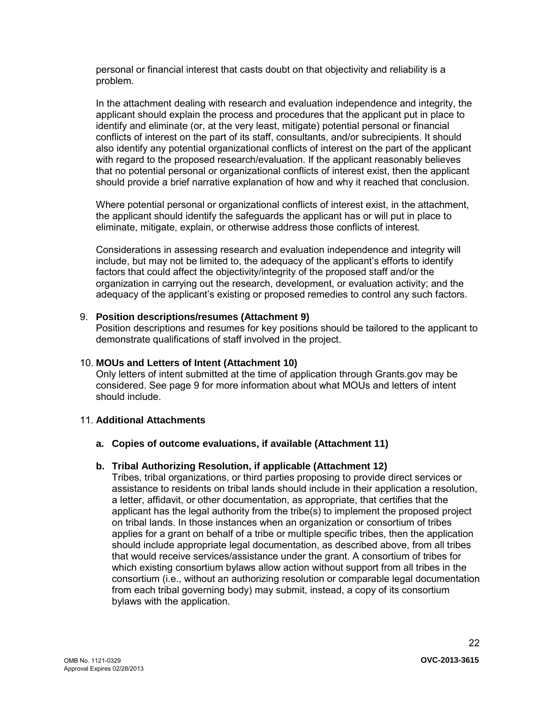personal or financial interest that casts doubt on that objectivity and reliability is a problem.

In the attachment dealing with research and evaluation independence and integrity, the applicant should explain the process and procedures that the applicant put in place to identify and eliminate (or, at the very least, mitigate) potential personal or financial conflicts of interest on the part of its staff, consultants, and/or subrecipients. It should also identify any potential organizational conflicts of interest on the part of the applicant with regard to the proposed research/evaluation. If the applicant reasonably believes that no potential personal or organizational conflicts of interest exist, then the applicant should provide a brief narrative explanation of how and why it reached that conclusion.

Where potential personal or organizational conflicts of interest exist, in the attachment, the applicant should identify the safeguards the applicant has or will put in place to eliminate, mitigate, explain, or otherwise address those conflicts of interest.

Considerations in assessing research and evaluation independence and integrity will include, but may not be limited to, the adequacy of the applicant's efforts to identify factors that could affect the objectivity/integrity of the proposed staff and/or the organization in carrying out the research, development, or evaluation activity; and the adequacy of the applicant's existing or proposed remedies to control any such factors.

#### <span id="page-21-0"></span>9. **Position descriptions/resumes (Attachment 9)**

Position descriptions and resumes for key positions should be tailored to the applicant to demonstrate qualifications of staff involved in the project.

### <span id="page-21-1"></span>10. **MOUs and Letters of Intent (Attachment 10)**

Only letters of intent submitted at the time of application through Grants.gov may be considered. See page 9 for more information about what MOUs and letters of intent should include.

#### <span id="page-21-3"></span><span id="page-21-2"></span>11. **Additional Attachments**

#### <span id="page-21-4"></span>**a. Copies of outcome evaluations, if available (Attachment 11)**

### **b. Tribal Authorizing Resolution, if applicable (Attachment 12)**

Tribes, tribal organizations, or third parties proposing to provide direct services or assistance to residents on tribal lands should include in their application a resolution, a letter, affidavit, or other documentation, as appropriate, that certifies that the applicant has the legal authority from the tribe(s) to implement the proposed project on tribal lands. In those instances when an organization or consortium of tribes applies for a grant on behalf of a tribe or multiple specific tribes, then the application should include appropriate legal documentation, as described above, from all tribes that would receive services/assistance under the grant. A consortium of tribes for which existing consortium bylaws allow action without support from all tribes in the consortium (i.e., without an authorizing resolution or comparable legal documentation from each tribal governing body) may submit, instead, a copy of its consortium bylaws with the application.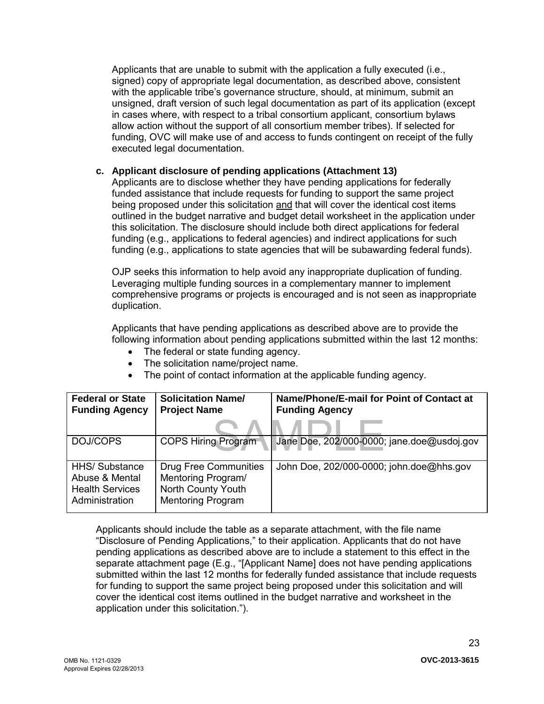Applicants that are unable to submit with the application a fully executed (i.e., signed) copy of appropriate legal documentation, as described above, consistent with the applicable tribe's governance structure, should, at minimum, submit an unsigned, draft version of such legal documentation as part of its application (except in cases where, with respect to a tribal consortium applicant, consortium bylaws allow action without the support of all consortium member tribes). If selected for funding, OVC will make use of and access to funds contingent on receipt of the fully executed legal documentation.

# **c. Applicant disclosure of pending applications (Attachment 13)**

Applicants are to disclose whether they have pending applications for federally funded assistance that include requests for funding to support the same project being proposed under this solicitation and that will cover the identical cost items outlined in the budget narrative and budget detail worksheet in the application under this solicitation. The disclosure should include both direct applications for federal funding (e.g., applications to federal agencies) and indirect applications for such funding (e.g., applications to state agencies that will be subawarding federal funds).

OJP seeks this information to help avoid any inappropriate duplication of funding. Leveraging multiple funding sources in a complementary manner to implement comprehensive programs or projects is encouraged and is not seen as inappropriate duplication.

Applicants that have pending applications as described above are to provide the following information about pending applications submitted within the last 12 months:

- The federal or state funding agency.
- The solicitation name/project name.
- The point of contact information at the applicable funding agency.

| <b>Federal or State</b><br><b>Funding Agency</b>                                    | <b>Solicitation Name/</b><br><b>Project Name</b>                                                     | Name/Phone/E-mail for Point of Contact at<br><b>Funding Agency</b> |
|-------------------------------------------------------------------------------------|------------------------------------------------------------------------------------------------------|--------------------------------------------------------------------|
|                                                                                     |                                                                                                      |                                                                    |
| DOJ/COPS                                                                            | <b>COPS Hiring Program</b>                                                                           | Jane Doe, 202/000-0000; jane.doe@usdoj.gov                         |
| <b>HHS/</b> Substance<br>Abuse & Mental<br><b>Health Services</b><br>Administration | <b>Drug Free Communities</b><br>Mentoring Program/<br>North County Youth<br><b>Mentoring Program</b> | John Doe, 202/000-0000; john.doe@hhs.gov                           |

Applicants should include the table as a separate attachment, with the file name "Disclosure of Pending Applications," to their application. Applicants that do not have pending applications as described above are to include a statement to this effect in the separate attachment page (E.g., "[Applicant Name] does not have pending applications submitted within the last 12 months for federally funded assistance that include requests for funding to support the same project being proposed under this solicitation and will cover the identical cost items outlined in the budget narrative and worksheet in the application under this solicitation.").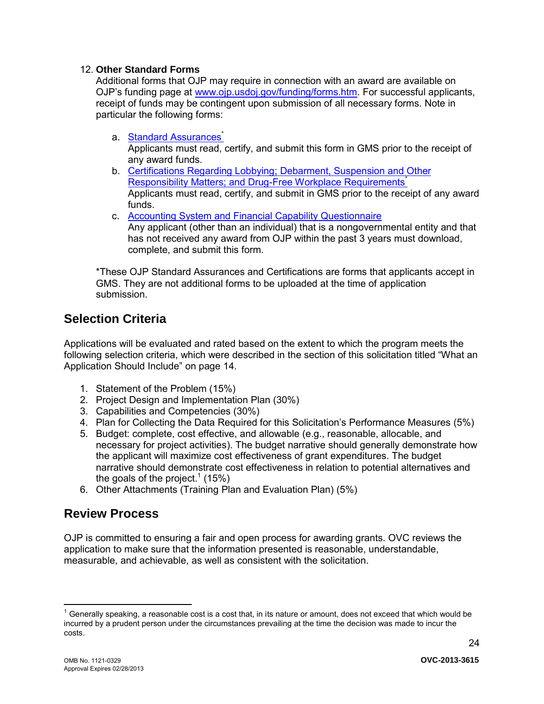# <span id="page-23-2"></span>12. **Other Standard Forms**

Additional forms that OJP may require in connection with an award are available on OJP's funding page at [www.ojp.usdoj.gov/funding/forms.htm.](http://www.ojp.usdoj.gov/funding/forms.htm) For successful applicants, receipt of funds may be contingent upon submission of all necessary forms. Note in particular the following forms:

- a. [Standard Assurances](http://www.ojp.usdoj.gov/funding/forms/std_assurances.pdf)<sup>®</sup> Applicants must read, certify, and submit this form in GMS prior to the receipt of any award funds.
- b. [Certifications Regarding Lobbying; Debarment, Suspension and Other](http://www.ojp.usdoj.gov/funding/forms/certifications.pdf)  Responsibility Matters: and Drug-Free Workplace Requirements<sup>\*</sup> Applicants must read, certify, and submit in GMS prior to the receipt of any award funds.
- c. [Accounting System and Financial Capability Questionnaire](http://www.ojp.usdoj.gov/funding/forms/financial_capability.pdf) 
	- Any applicant (other than an individual) that is a nongovernmental entity and that has not received any award from OJP within the past 3 years must download, complete, and submit this form.

\*These OJP Standard Assurances and Certifications are forms that applicants accept in GMS. They are not additional forms to be uploaded at the time of application submission.

# <span id="page-23-0"></span>**Selection Criteria**

Applications will be evaluated and rated based on the extent to which the program meets the following selection criteria, which were described in the section of this solicitation titled "What an Application Should Include" on page 14.

- 1. Statement of the Problem (15%)
- 2. Project Design and Implementation Plan (30%)
- 3. Capabilities and Competencies (30%)
- 4. Plan for Collecting the Data Required for this Solicitation's Performance Measures (5%)
- 5. Budget: complete, cost effective, and allowable (e.g., reasonable, allocable, and necessary for project activities). The budget narrative should generally demonstrate how the applicant will maximize cost effectiveness of grant expenditures. The budget narrative should demonstrate cost effectiveness in relation to potential alternatives and the goals of the project. $^1$  (15%)
- 6. Other Attachments (Training Plan and Evaluation Plan) (5%)

# <span id="page-23-1"></span>**Review Process**

OJP is committed to ensuring a fair and open process for awarding grants. OVC reviews the application to make sure that the information presented is reasonable, understandable, measurable, and achievable, as well as consistent with the solicitation.

 $\overline{a}$ 

 $1$  Generally speaking, a reasonable cost is a cost that, in its nature or amount, does not exceed that which would be incurred by a prudent person under the circumstances prevailing at the time the decision was made to incur the costs.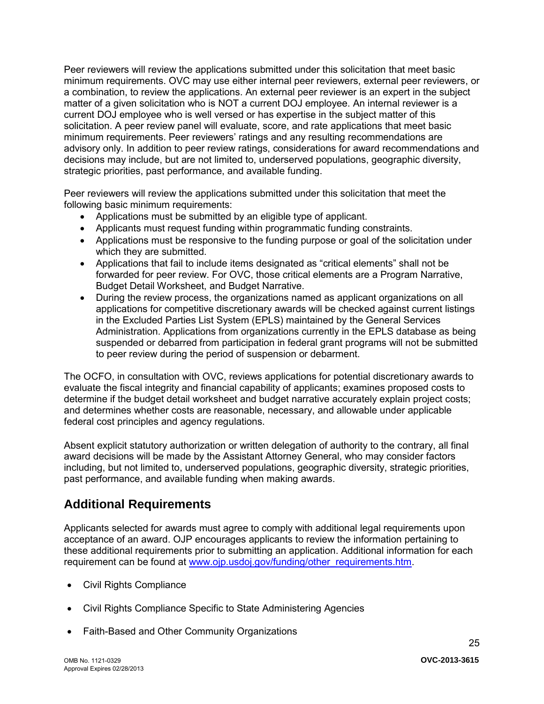Peer reviewers will review the applications submitted under this solicitation that meet basic minimum requirements. OVC may use either internal peer reviewers, external peer reviewers, or a combination, to review the applications. An external peer reviewer is an expert in the subject matter of a given solicitation who is NOT a current DOJ employee. An internal reviewer is a current DOJ employee who is well versed or has expertise in the subject matter of this solicitation. A peer review panel will evaluate, score, and rate applications that meet basic minimum requirements. Peer reviewers' ratings and any resulting recommendations are advisory only. In addition to peer review ratings, considerations for award recommendations and decisions may include, but are not limited to, underserved populations, geographic diversity, strategic priorities, past performance, and available funding.

Peer reviewers will review the applications submitted under this solicitation that meet the following basic minimum requirements:

- Applications must be submitted by an eligible type of applicant.
- Applicants must request funding within programmatic funding constraints.
- Applications must be responsive to the funding purpose or goal of the solicitation under which they are submitted.
- Applications that fail to include items designated as "critical elements" shall not be forwarded for peer review. For OVC, those critical elements are a Program Narrative, Budget Detail Worksheet, and Budget Narrative.
- During the review process, the organizations named as applicant organizations on all applications for competitive discretionary awards will be checked against current listings in the Excluded Parties List System (EPLS) maintained by the General Services Administration. Applications from organizations currently in the EPLS database as being suspended or debarred from participation in federal grant programs will not be submitted to peer review during the period of suspension or debarment.

The OCFO, in consultation with OVC, reviews applications for potential discretionary awards to evaluate the fiscal integrity and financial capability of applicants; examines proposed costs to determine if the budget detail worksheet and budget narrative accurately explain project costs; and determines whether costs are reasonable, necessary, and allowable under applicable federal cost principles and agency regulations.

Absent explicit statutory authorization or written delegation of authority to the contrary, all final award decisions will be made by the Assistant Attorney General, who may consider factors including, but not limited to, underserved populations, geographic diversity, strategic priorities, past performance, and available funding when making awards.

# <span id="page-24-0"></span>**Additional Requirements**

Applicants selected for awards must agree to comply with additional legal requirements upon acceptance of an award. OJP encourages applicants to review the information pertaining to these additional requirements prior to submitting an application. Additional information for each requirement can be found at [www.ojp.usdoj.gov/funding/other\\_requirements.htm.](http://www.ojp.usdoj.gov/funding/other_requirements.htm)

- [Civil Rights Compliance](http://www.ojp.usdoj.gov/about/ocr/statutes.htm)
- Civil Rights Compliance Specific to State Administering Agencies
- Faith-Based and Other Community Organizations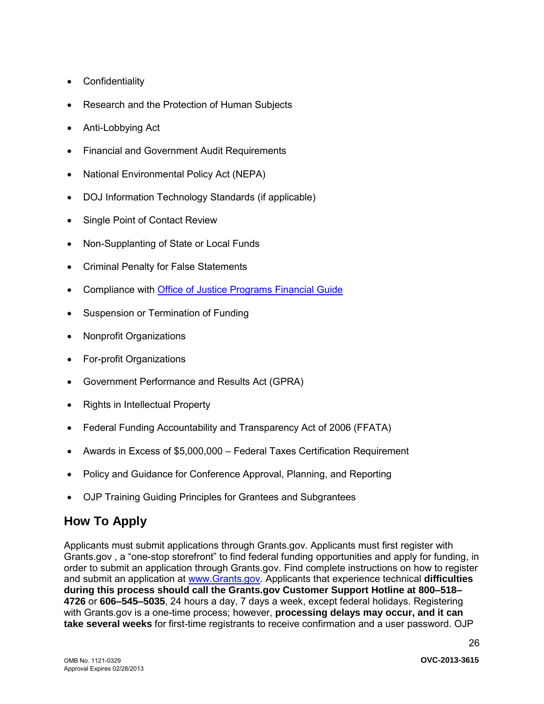- <span id="page-25-0"></span>Confidentiality
- Research and the Protection of Human Subjects
- Anti-Lobbying Act
- Financial and Government Audit Requirements
- National Environmental Policy Act (NEPA)
- DOJ Information Technology Standards (if applicable)
- Single Point of Contact Review
- Non-Supplanting of State or Local Funds
- Criminal Penalty for False Statements
- Compliance with **Office of Justice Programs Financial Guide**
- Suspension or Termination of Funding
- Nonprofit Organizations
- For-profit Organizations
- Government Performance and Results Act (GPRA)
- Rights in Intellectual Property
- Federal Funding Accountability and Transparency Act of 2006 (FFATA)
- Awards in Excess of \$5,000,000 Federal Taxes Certification Requirement
- Policy and Guidance for Conference Approval, Planning, and Reporting
- OJP Training Guiding Principles for Grantees and Subgrantees

# **How To Apply**

Applicants must submit applications through Grants.gov. Applicants must first register with Grants.gov , a "one-stop storefront" to find federal funding opportunities and apply for funding, in order to submit an application through Grants.gov. Find complete instructions on how to register and submit an application at [www.Grants.gov.](http://www.grants.gov/) Applicants that experience technical **difficulties during this process should call the Grants.gov Customer Support Hotline at 800–518– 4726** or **606–545–5035**, 24 hours a day, 7 days a week, except federal holidays. Registering with Grants.gov is a one-time process; however, **processing delays may occur, and it can take several weeks** for first-time registrants to receive confirmation and a user password. OJP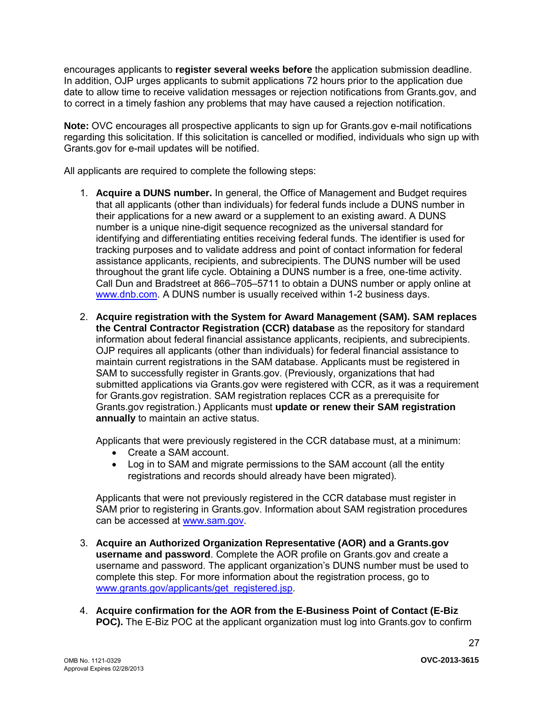encourages applicants to **register several weeks before** the application submission deadline. In addition, OJP urges applicants to submit applications 72 hours prior to the application due date to allow time to receive validation messages or rejection notifications from Grants.gov, and to correct in a timely fashion any problems that may have caused a rejection notification.

**Note:** OVC encourages all prospective applicants to sign up for Grants.gov e-mail notifications regarding this solicitation. If this solicitation is cancelled or modified, individuals who sign up with Grants.gov for e-mail updates will be notified.

All applicants are required to complete the following steps:

- 1. **Acquire a DUNS number.** In general, the Office of Management and Budget requires that all applicants (other than individuals) for federal funds include a DUNS number in their applications for a new award or a supplement to an existing award. A DUNS number is a unique nine-digit sequence recognized as the universal standard for identifying and differentiating entities receiving federal funds. The identifier is used for tracking purposes and to validate address and point of contact information for federal assistance applicants, recipients, and subrecipients. The DUNS number will be used throughout the grant life cycle. Obtaining a DUNS number is a free, one-time activity. Call Dun and Bradstreet at 866–705–5711 to obtain a DUNS number or apply online at [www.dnb.com.](http://www.dnb.com/) A DUNS number is usually received within 1-2 business days.
- 2. **Acquire registration with the System for Award Management (SAM). SAM replaces the Central Contractor Registration (CCR) database** as the repository for standard information about federal financial assistance applicants, recipients, and subrecipients. OJP requires all applicants (other than individuals) for federal financial assistance to maintain current registrations in the SAM database. Applicants must be registered in SAM to successfully register in Grants.gov. (Previously, organizations that had submitted applications via Grants.gov were registered with CCR, as it was a requirement for Grants.gov registration. SAM registration replaces CCR as a prerequisite for Grants.gov registration.) Applicants must **update or renew their SAM registration annually** to maintain an active status.

Applicants that were previously registered in the CCR database must, at a minimum:

- Create a SAM account.
- Log in to SAM and migrate permissions to the SAM account (all the entity registrations and records should already have been migrated).

Applicants that were not previously registered in the CCR database must register in SAM prior to registering in Grants.gov. Information about SAM registration procedures can be accessed at [www.sam.gov.](http://www.sam.gov/)

- 3. **Acquire an Authorized Organization Representative (AOR) and a Grants.gov username and password**. Complete the AOR profile on Grants.gov and create a username and password. The applicant organization's DUNS number must be used to complete this step. For more information about the registration process, go to [www.grants.gov/applicants/get\\_registered.jsp.](http://www.grants.gov/applicants/get_registered.jsp)
- 4. **Acquire confirmation for the AOR from the E-Business Point of Contact (E-Biz POC).** The E-Biz POC at the applicant organization must log into Grants.gov to confirm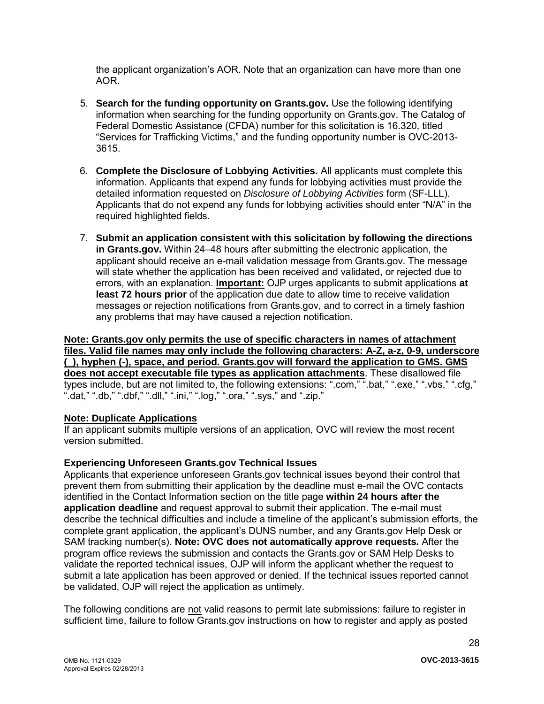the applicant organization's AOR. Note that an organization can have more than one AOR.

- 5. **Search for the funding opportunity on Grants.gov.** Use the following identifying information when searching for the funding opportunity on Grants.gov. The Catalog of Federal Domestic Assistance (CFDA) number for this solicitation is 16.320, titled "Services for Trafficking Victims," and the funding opportunity number is OVC-2013- 3615.
- 6. **Complete the Disclosure of Lobbying Activities.** All applicants must complete this information. Applicants that expend any funds for lobbying activities must provide the detailed information requested on *Disclosure of Lobbying Activities* form (SF-LLL). Applicants that do not expend any funds for lobbying activities should enter "N/A" in the required highlighted fields.
- 7. **Submit an application consistent with this solicitation by following the directions in Grants.gov.** Within 24–48 hours after submitting the electronic application, the applicant should receive an e-mail validation message from Grants.gov. The message will state whether the application has been received and validated, or rejected due to errors, with an explanation. **Important:** OJP urges applicants to submit applications **at least 72 hours prior** of the application due date to allow time to receive validation messages or rejection notifications from Grants.gov, and to correct in a timely fashion any problems that may have caused a rejection notification.

#### **Note: Grants.gov only permits the use of specific characters in names of attachment files. Valid file names may only include the following characters: A-Z, a-z, 0-9, underscore (\_), hyphen (-), space, and period. Grants.gov will forward the application to GMS. GMS does not accept executable file types as application attachments**. These disallowed file types include, but are not limited to, the following extensions: ".com," ".bat," ".exe," ".vbs," ".cfg," ".dat," ".db," ".dbf," ".dll," ".ini," ".log," ".ora," ".sys," and ".zip."

### **Note: Duplicate Applications**

If an applicant submits multiple versions of an application, OVC will review the most recent version submitted.

# **Experiencing Unforeseen Grants.gov Technical Issues**

Applicants that experience unforeseen Grants.gov technical issues beyond their control that prevent them from submitting their application by the deadline must e-mail the OVC contacts identified in the Contact Information section on the title page **within 24 hours after the application deadline** and request approval to submit their application. The e-mail must describe the technical difficulties and include a timeline of the applicant's submission efforts, the complete grant application, the applicant's DUNS number, and any Grants.gov Help Desk or SAM tracking number(s). **Note: OVC does not automatically approve requests***.* After the program office reviews the submission and contacts the Grants.gov or SAM Help Desks to validate the reported technical issues, OJP will inform the applicant whether the request to submit a late application has been approved or denied. If the technical issues reported cannot be validated, OJP will reject the application as untimely.

The following conditions are not valid reasons to permit late submissions: failure to register in sufficient time, failure to follow Grants.gov instructions on how to register and apply as posted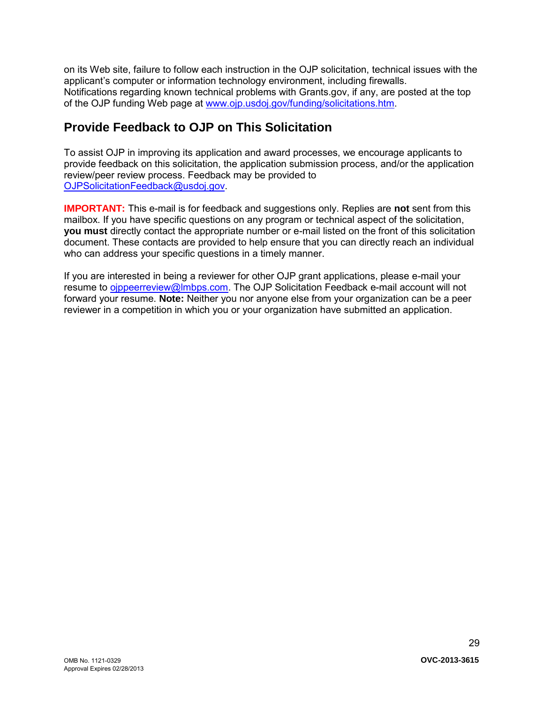on its Web site, failure to follow each instruction in the OJP solicitation, technical issues with the applicant's computer or information technology environment, including firewalls. Notifications regarding known technical problems with Grants.gov, if any, are posted at the top of the OJP funding Web page at [www.ojp.usdoj.gov/funding/solicitations.htm.](http://www.ojp.gov/funding/solicitations.htm)

# <span id="page-28-0"></span>**Provide Feedback to OJP on This Solicitation**

To assist OJP in improving its application and award processes, we encourage applicants to provide feedback on this solicitation, the application submission process, and/or the application review/peer review process. Feedback may be provided to [OJPSolicitationFeedback@usdoj.gov.](mailto:OJPSolicitationFeedback@usdoj.gov)

**IMPORTANT:** This e-mail is for feedback and suggestions only. Replies are **not** sent from this mailbox. If you have specific questions on any program or technical aspect of the solicitation, **you must** directly contact the appropriate number or e-mail listed on the front of this solicitation document. These contacts are provided to help ensure that you can directly reach an individual who can address your specific questions in a timely manner.

If you are interested in being a reviewer for other OJP grant applications, please e-mail your resume to [ojppeerreview@lmbps.com.](mailto:ojppeerreview@lmbps.com) The OJP Solicitation Feedback e-mail account will not forward your resume. **Note:** Neither you nor anyone else from your organization can be a peer reviewer in a competition in which you or your organization have submitted an application.